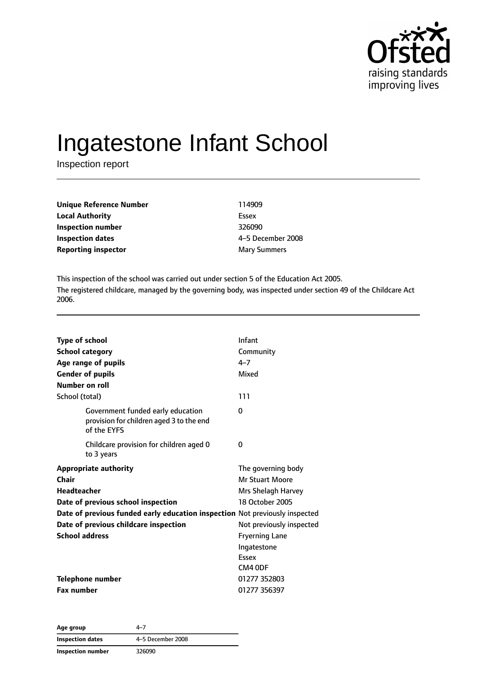

# Ingatestone Infant School

Inspection report

| Unique Reference Number | 114909              |
|-------------------------|---------------------|
| Local Authority         | Essex               |
| Inspection number       | 326090              |
| Inspection dates        | 4-5 December 2008   |
| Reporting inspector     | <b>Mary Summers</b> |
|                         |                     |

This inspection of the school was carried out under section 5 of the Education Act 2005. The registered childcare, managed by the governing body, was inspected under section 49 of the Childcare Act 2006.

| <b>Type of school</b><br><b>School category</b><br>Age range of pupils<br><b>Gender of pupils</b><br>Number on roll | Infant<br>Community<br>$4 - 7$<br>Mixed                            |
|---------------------------------------------------------------------------------------------------------------------|--------------------------------------------------------------------|
| School (total)                                                                                                      | 111                                                                |
| Government funded early education<br>provision for children aged 3 to the end<br>of the EYFS                        | $\Omega$                                                           |
| Childcare provision for children aged 0<br>to 3 years                                                               | 0                                                                  |
| <b>Appropriate authority</b><br>Chair<br><b>Headteacher</b>                                                         | The governing body<br><b>Mr Stuart Moore</b><br>Mrs Shelagh Harvey |
| Date of previous school inspection                                                                                  | 18 October 2005                                                    |
| Date of previous funded early education inspection Not previously inspected                                         |                                                                    |
| Date of previous childcare inspection                                                                               | Not previously inspected                                           |
| <b>School address</b>                                                                                               | <b>Fryerning Lane</b><br>Ingatestone<br>Essex<br>CM4 ODF           |
| <b>Telephone number</b>                                                                                             | 01277 352803                                                       |
| <b>Fax number</b>                                                                                                   | 01277 356397                                                       |

| Age group               | $4 - 7$           |
|-------------------------|-------------------|
| <b>Inspection dates</b> | 4-5 December 2008 |
| Inspection number       | 326090            |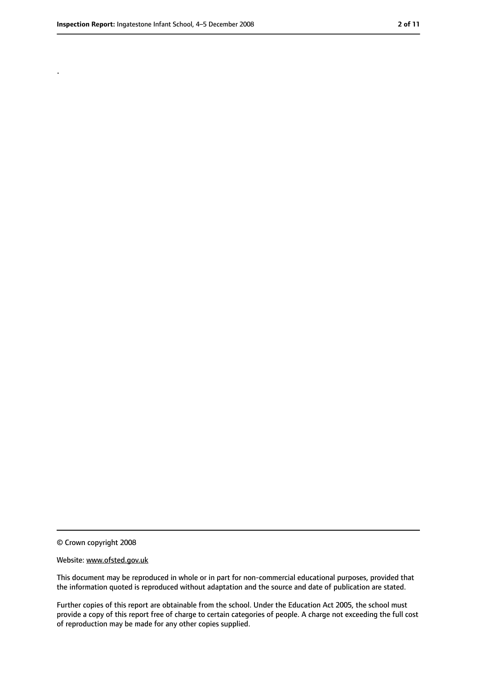.

<sup>©</sup> Crown copyright 2008

Website: www.ofsted.gov.uk

This document may be reproduced in whole or in part for non-commercial educational purposes, provided that the information quoted is reproduced without adaptation and the source and date of publication are stated.

Further copies of this report are obtainable from the school. Under the Education Act 2005, the school must provide a copy of this report free of charge to certain categories of people. A charge not exceeding the full cost of reproduction may be made for any other copies supplied.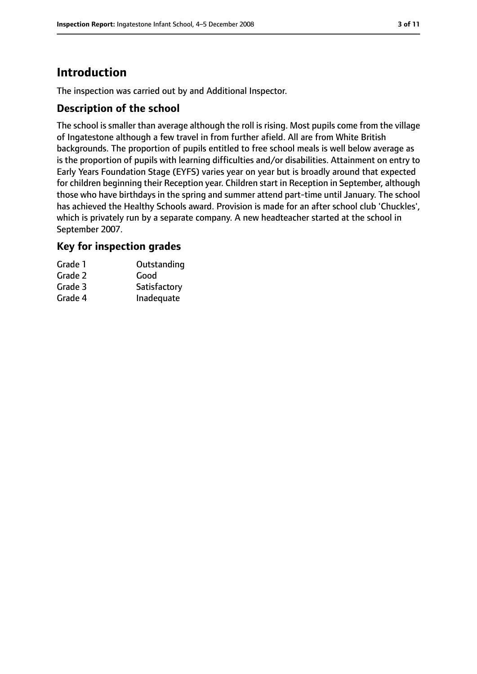# **Introduction**

The inspection was carried out by and Additional Inspector.

#### **Description of the school**

The school is smaller than average although the roll is rising. Most pupils come from the village of Ingatestone although a few travel in from further afield. All are from White British backgrounds. The proportion of pupils entitled to free school meals is well below average as is the proportion of pupils with learning difficulties and/or disabilities. Attainment on entry to Early Years Foundation Stage (EYFS) varies year on year but is broadly around that expected for children beginning their Reception year. Children start in Reception in September, although those who have birthdays in the spring and summer attend part-time until January. The school has achieved the Healthy Schools award. Provision is made for an after school club 'Chuckles', which is privately run by a separate company. A new headteacher started at the school in September 2007.

#### **Key for inspection grades**

| Grade 1 | Outstanding  |
|---------|--------------|
| Grade 2 | Good         |
| Grade 3 | Satisfactory |
| Grade 4 | Inadequate   |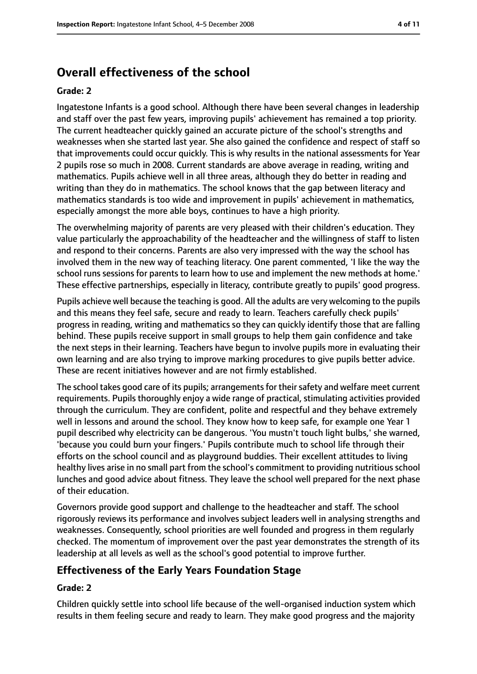# **Overall effectiveness of the school**

#### **Grade: 2**

Ingatestone Infants is a good school. Although there have been several changes in leadership and staff over the past few years, improving pupils' achievement has remained a top priority. The current headteacher quickly gained an accurate picture of the school's strengths and weaknesses when she started last year. She also gained the confidence and respect of staff so that improvements could occur quickly. This is why results in the national assessments for Year 2 pupils rose so much in 2008. Current standards are above average in reading, writing and mathematics. Pupils achieve well in all three areas, although they do better in reading and writing than they do in mathematics. The school knows that the gap between literacy and mathematics standards is too wide and improvement in pupils' achievement in mathematics, especially amongst the more able boys, continues to have a high priority.

The overwhelming majority of parents are very pleased with their children's education. They value particularly the approachability of the headteacher and the willingness of staff to listen and respond to their concerns. Parents are also very impressed with the way the school has involved them in the new way of teaching literacy. One parent commented, 'I like the way the school runs sessions for parents to learn how to use and implement the new methods at home.' These effective partnerships, especially in literacy, contribute greatly to pupils' good progress.

Pupils achieve well because the teaching is good. All the adults are very welcoming to the pupils and this means they feel safe, secure and ready to learn. Teachers carefully check pupils' progress in reading, writing and mathematics so they can quickly identify those that are falling behind. These pupils receive support in small groups to help them gain confidence and take the next steps in their learning. Teachers have begun to involve pupils more in evaluating their own learning and are also trying to improve marking procedures to give pupils better advice. These are recent initiatives however and are not firmly established.

The school takes good care of its pupils; arrangements for their safety and welfare meet current requirements. Pupils thoroughly enjoy a wide range of practical, stimulating activities provided through the curriculum. They are confident, polite and respectful and they behave extremely well in lessons and around the school. They know how to keep safe, for example one Year 1 pupil described why electricity can be dangerous. 'You mustn't touch light bulbs,' she warned, 'because you could burn your fingers.' Pupils contribute much to school life through their efforts on the school council and as playground buddies. Their excellent attitudes to living healthy lives arise in no small part from the school's commitment to providing nutritious school lunches and good advice about fitness. They leave the school well prepared for the next phase of their education.

Governors provide good support and challenge to the headteacher and staff. The school rigorously reviews its performance and involves subject leaders well in analysing strengths and weaknesses. Consequently, school priorities are well founded and progress in them regularly checked. The momentum of improvement over the past year demonstrates the strength of its leadership at all levels as well as the school's good potential to improve further.

#### **Effectiveness of the Early Years Foundation Stage**

#### **Grade: 2**

Children quickly settle into school life because of the well-organised induction system which results in them feeling secure and ready to learn. They make good progress and the majority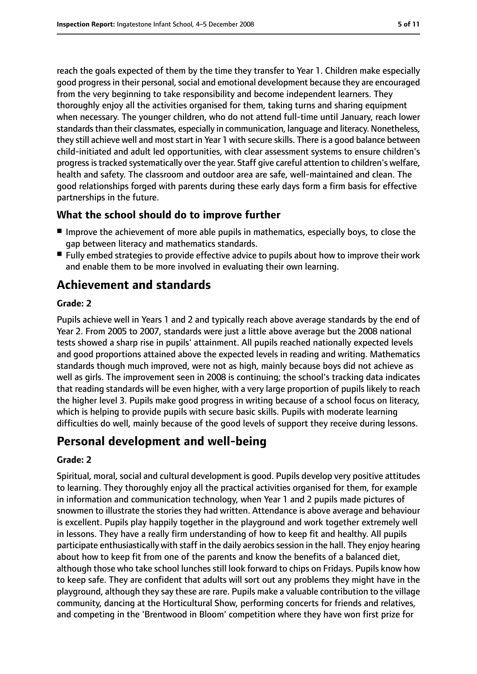reach the goals expected of them by the time they transfer to Year 1. Children make especially good progress in their personal, social and emotional development because they are encouraged from the very beginning to take responsibility and become independent learners. They thoroughly enjoy all the activities organised for them, taking turns and sharing equipment when necessary. The younger children, who do not attend full-time until January, reach lower standards than their classmates, especially in communication, language and literacy. Nonetheless, they still achieve well and most start in Year 1 with secure skills. There is a good balance between child-initiated and adult led opportunities, with clear assessment systems to ensure children's progressistracked systematically over the year. Staff give careful attention to children's welfare, health and safety. The classroom and outdoor area are safe, well-maintained and clean. The good relationships forged with parents during these early days form a firm basis for effective partnerships in the future.

## **What the school should do to improve further**

- Improve the achievement of more able pupils in mathematics, especially boys, to close the gap between literacy and mathematics standards.
- Fully embed strategies to provide effective advice to pupils about how to improve their work and enable them to be more involved in evaluating their own learning.

# **Achievement and standards**

#### **Grade: 2**

Pupils achieve well in Years 1 and 2 and typically reach above average standards by the end of Year 2. From 2005 to 2007, standards were just a little above average but the 2008 national tests showed a sharp rise in pupils' attainment. All pupils reached nationally expected levels and good proportions attained above the expected levels in reading and writing. Mathematics standards though much improved, were not as high, mainly because boys did not achieve as well as girls. The improvement seen in 2008 is continuing; the school's tracking data indicates that reading standards will be even higher, with a very large proportion of pupils likely to reach the higher level 3. Pupils make good progress in writing because of a school focus on literacy, which is helping to provide pupils with secure basic skills. Pupils with moderate learning difficulties do well, mainly because of the good levels of support they receive during lessons.

# **Personal development and well-being**

#### **Grade: 2**

Spiritual, moral, social and cultural development is good. Pupils develop very positive attitudes to learning. They thoroughly enjoy all the practical activities organised for them, for example in information and communication technology, when Year 1 and 2 pupils made pictures of snowmen to illustrate the stories they had written. Attendance is above average and behaviour is excellent. Pupils play happily together in the playground and work together extremely well in lessons. They have a really firm understanding of how to keep fit and healthy. All pupils participate enthusiastically with staff in the daily aerobics session in the hall. They enjoy hearing about how to keep fit from one of the parents and know the benefits of a balanced diet, although those who take school lunches still look forward to chips on Fridays. Pupils know how to keep safe. They are confident that adults will sort out any problems they might have in the playground, although they say these are rare. Pupils make a valuable contribution to the village community, dancing at the Horticultural Show, performing concerts for friends and relatives, and competing in the 'Brentwood in Bloom' competition where they have won first prize for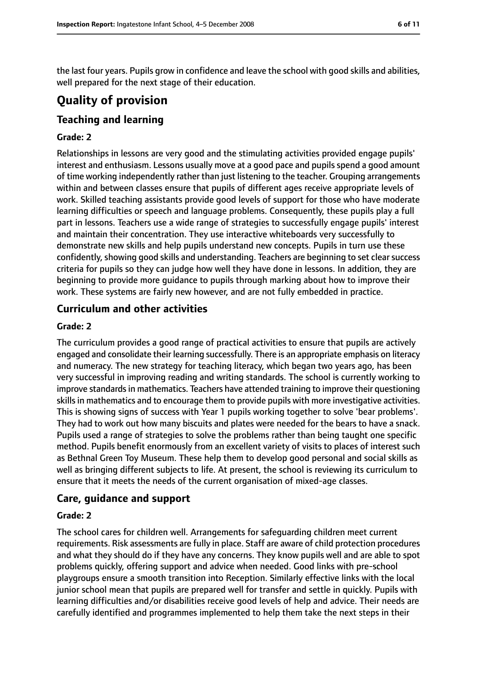the last four years. Pupils grow in confidence and leave the school with good skills and abilities, well prepared for the next stage of their education.

# **Quality of provision**

## **Teaching and learning**

#### **Grade: 2**

Relationships in lessons are very good and the stimulating activities provided engage pupils' interest and enthusiasm. Lessons usually move at a good pace and pupils spend a good amount of time working independently rather than just listening to the teacher. Grouping arrangements within and between classes ensure that pupils of different ages receive appropriate levels of work. Skilled teaching assistants provide good levels of support for those who have moderate learning difficulties or speech and language problems. Consequently, these pupils play a full part in lessons. Teachers use a wide range of strategies to successfully engage pupils' interest and maintain their concentration. They use interactive whiteboards very successfully to demonstrate new skills and help pupils understand new concepts. Pupils in turn use these confidently, showing good skills and understanding. Teachers are beginning to set clear success criteria for pupils so they can judge how well they have done in lessons. In addition, they are beginning to provide more guidance to pupils through marking about how to improve their work. These systems are fairly new however, and are not fully embedded in practice.

#### **Curriculum and other activities**

#### **Grade: 2**

The curriculum provides a good range of practical activities to ensure that pupils are actively engaged and consolidate their learning successfully. There is an appropriate emphasis on literacy and numeracy. The new strategy for teaching literacy, which began two years ago, has been very successful in improving reading and writing standards. The school is currently working to improve standards in mathematics. Teachers have attended training to improve their questioning skills in mathematics and to encourage them to provide pupils with more investigative activities. This is showing signs of success with Year 1 pupils working together to solve 'bear problems'. They had to work out how many biscuits and plates were needed for the bears to have a snack. Pupils used a range of strategies to solve the problems rather than being taught one specific method. Pupils benefit enormously from an excellent variety of visits to places of interest such as Bethnal Green Toy Museum. These help them to develop good personal and social skills as well as bringing different subjects to life. At present, the school is reviewing its curriculum to ensure that it meets the needs of the current organisation of mixed-age classes.

#### **Care, guidance and support**

#### **Grade: 2**

The school cares for children well. Arrangements for safeguarding children meet current requirements. Risk assessments are fully in place. Staff are aware of child protection procedures and what they should do if they have any concerns. They know pupils well and are able to spot problems quickly, offering support and advice when needed. Good links with pre-school playgroups ensure a smooth transition into Reception. Similarly effective links with the local junior school mean that pupils are prepared well for transfer and settle in quickly. Pupils with learning difficulties and/or disabilities receive good levels of help and advice. Their needs are carefully identified and programmes implemented to help them take the next steps in their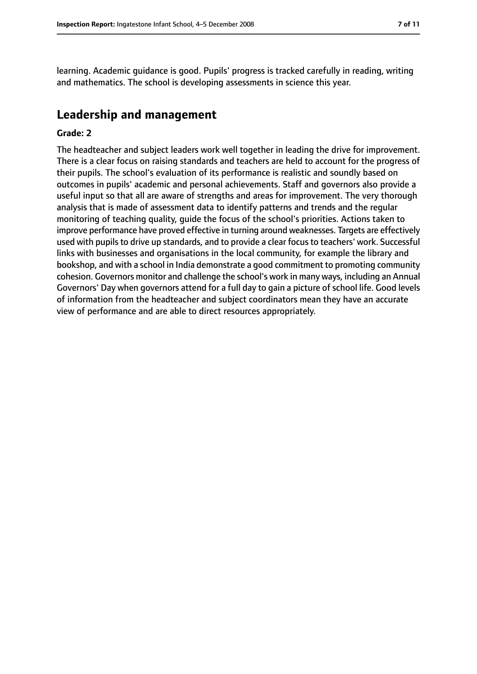learning. Academic guidance is good. Pupils' progress is tracked carefully in reading, writing and mathematics. The school is developing assessments in science this year.

#### **Leadership and management**

#### **Grade: 2**

The headteacher and subject leaders work well together in leading the drive for improvement. There is a clear focus on raising standards and teachers are held to account for the progress of their pupils. The school's evaluation of its performance is realistic and soundly based on outcomes in pupils' academic and personal achievements. Staff and governors also provide a useful input so that all are aware of strengths and areas for improvement. The very thorough analysis that is made of assessment data to identify patterns and trends and the regular monitoring of teaching quality, guide the focus of the school's priorities. Actions taken to improve performance have proved effective in turning around weaknesses. Targets are effectively used with pupils to drive up standards, and to provide a clear focus to teachers' work. Successful links with businesses and organisations in the local community, for example the library and bookshop, and with a school in India demonstrate a good commitment to promoting community cohesion. Governors monitor and challenge the school's work in many ways, including an Annual Governors' Day when governors attend for a full day to gain a picture of school life. Good levels of information from the headteacher and subject coordinators mean they have an accurate view of performance and are able to direct resources appropriately.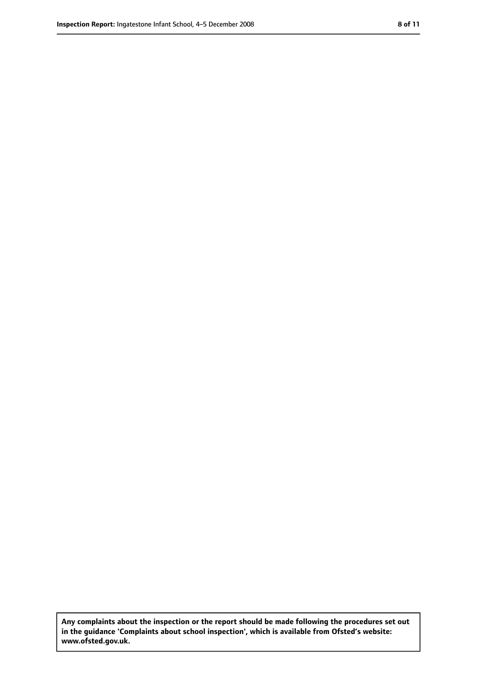**Any complaints about the inspection or the report should be made following the procedures set out in the guidance 'Complaints about school inspection', which is available from Ofsted's website: www.ofsted.gov.uk.**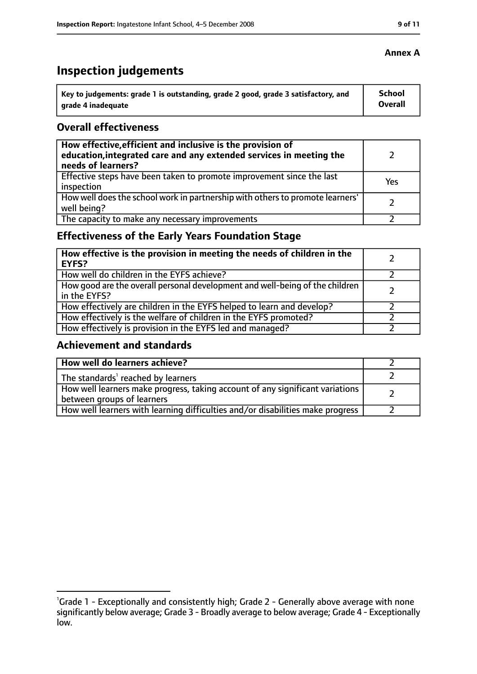# **Inspection judgements**

| Key to judgements: grade 1 is outstanding, grade 2 good, grade 3 satisfactory, and | <b>School</b>  |
|------------------------------------------------------------------------------------|----------------|
| arade 4 inadequate                                                                 | <b>Overall</b> |

### **Overall effectiveness**

| How effective, efficient and inclusive is the provision of<br>education, integrated care and any extended services in meeting the<br>needs of learners? |     |
|---------------------------------------------------------------------------------------------------------------------------------------------------------|-----|
| Effective steps have been taken to promote improvement since the last<br>inspection                                                                     | Yes |
| How well does the school work in partnership with others to promote learners'<br>well being?                                                            |     |
| The capacity to make any necessary improvements                                                                                                         |     |

# **Effectiveness of the Early Years Foundation Stage**

| How effective is the provision in meeting the needs of children in the<br><b>EYFS?</b>       |  |
|----------------------------------------------------------------------------------------------|--|
| How well do children in the EYFS achieve?                                                    |  |
| How good are the overall personal development and well-being of the children<br>in the EYFS? |  |
| How effectively are children in the EYFS helped to learn and develop?                        |  |
| How effectively is the welfare of children in the EYFS promoted?                             |  |
| How effectively is provision in the EYFS led and managed?                                    |  |

## **Achievement and standards**

| How well do learners achieve?                                                                               |  |
|-------------------------------------------------------------------------------------------------------------|--|
| The standards <sup>1</sup> reached by learners                                                              |  |
| How well learners make progress, taking account of any significant variations<br>between groups of learners |  |
| How well learners with learning difficulties and/or disabilities make progress                              |  |

#### **Annex A**

<sup>&</sup>lt;sup>1</sup>Grade 1 - Exceptionally and consistently high; Grade 2 - Generally above average with none significantly below average; Grade 3 - Broadly average to below average; Grade 4 - Exceptionally low.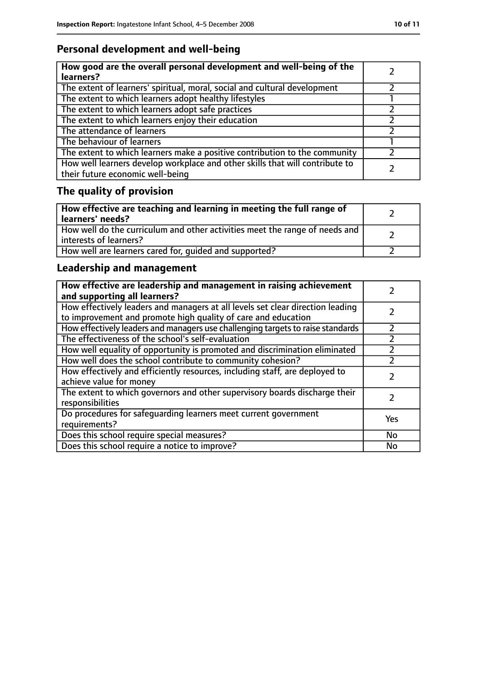# **Personal development and well-being**

| How good are the overall personal development and well-being of the<br>learners?                                 |  |
|------------------------------------------------------------------------------------------------------------------|--|
| The extent of learners' spiritual, moral, social and cultural development                                        |  |
| The extent to which learners adopt healthy lifestyles                                                            |  |
| The extent to which learners adopt safe practices                                                                |  |
| The extent to which learners enjoy their education                                                               |  |
| The attendance of learners                                                                                       |  |
| The behaviour of learners                                                                                        |  |
| The extent to which learners make a positive contribution to the community                                       |  |
| How well learners develop workplace and other skills that will contribute to<br>their future economic well-being |  |

# **The quality of provision**

| How effective are teaching and learning in meeting the full range of<br>learners' needs?              |  |
|-------------------------------------------------------------------------------------------------------|--|
| How well do the curriculum and other activities meet the range of needs and<br>interests of learners? |  |
| How well are learners cared for, quided and supported?                                                |  |

# **Leadership and management**

| How effective are leadership and management in raising achievement<br>and supporting all learners?                                              |     |
|-------------------------------------------------------------------------------------------------------------------------------------------------|-----|
| How effectively leaders and managers at all levels set clear direction leading<br>to improvement and promote high quality of care and education |     |
| How effectively leaders and managers use challenging targets to raise standards                                                                 |     |
| The effectiveness of the school's self-evaluation                                                                                               |     |
| How well equality of opportunity is promoted and discrimination eliminated                                                                      |     |
| How well does the school contribute to community cohesion?                                                                                      |     |
| How effectively and efficiently resources, including staff, are deployed to<br>achieve value for money                                          |     |
| The extent to which governors and other supervisory boards discharge their<br>responsibilities                                                  |     |
| Do procedures for safeguarding learners meet current government<br>requirements?                                                                | Yes |
| Does this school require special measures?                                                                                                      | No  |
| Does this school require a notice to improve?                                                                                                   | No  |